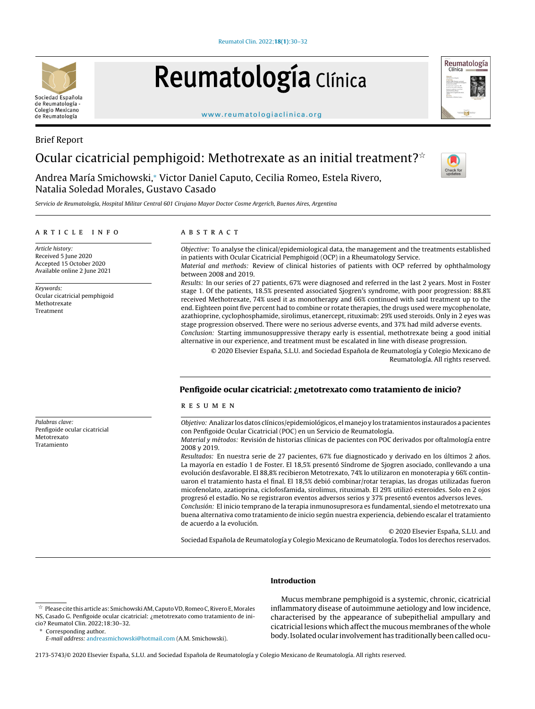# Reumatología Clínica

[www.reumatologiaclinica.org](http://www.reumatologiaclinica.org)

# Brief Report Ocular cicatricial pemphigoid: Methotrexate as an initial treatment? $\dot{\tilde{}}$

Andrea María Smichowski,<sup>∗</sup> Victor Daniel Caputo, Cecilia Romeo, Estela Rivero, Natalia Soledad Morales, Gustavo Casado

Servicio de Reumatología, Hospital Militar Central 601 Cirujano Mayor Doctor Cosme Argerich, Buenos Aires, Argentina

## a r t i c l e i n f o

Article history: Received 5 June 2020 Accepted 15 October 2020 Available online 2 June 2021

Keywords: Ocular cicatricial pemphigoid Methotrexate Treatment

Palabras clave:

Metotrexato Tratamiento

Penfigoide ocular cicatricial

# a b s t r a c t

Objective: To analyse the clinical/epidemiological data, the management and the treatments established in patients with Ocular Cicatricial Pemphigoid (OCP) in a Rheumatology Service. Material and methods: Review of clinical histories of patients with OCP referred by ophthalmology

between 2008 and 2019. Results: In our series of 27 patients, 67% were diagnosed and referred in the last 2 years. Most in Foster stage 1. Of the patients, 18.5% presented associated Sjogren's syndrome, with poor progression: 88.8% received Methotrexate, 74% used it as monotherapy and 66% continued with said treatment up to the end. Eighteen point five percent had to combine or rotate therapies, the drugs used were mycophenolate, azathioprine, cyclophosphamide, sirolimus, etanercept, rituximab: 29% used steroids. Only in 2 eyes was stage progression observed. There were no serious adverse events, and 37% had mild adverse events.

Conclusion: Starting immunosuppressive therapy early is essential, methotrexate being a good initial alternative in our experience, and treatment must be escalated in line with disease progression.

© 2020 Elsevier Espana, ˜ S.L.U. and Sociedad Espanola ˜ de Reumatología y Colegio Mexicano de Reumatología. All rights reserved.

### Penfigoide ocular cicatricial: ¿metotrexato como tratamiento de inicio?

#### r e s u m e n

Objetivo: Analizar losdatos clínicos/epidemiológicos, elmanejo y los tratamientos instaurados apacientes con Penfigoide Ocular Cicatricial (POC) en un Servicio de Reumatología.

Material y métodos: Revisión de historias clínicas de pacientes con POC derivados por oftalmología entre 2008 y 2019.

Resultados: En nuestra serie de 27 pacientes, 67% fue diagnosticado y derivado en los últimos 2 años. La mayoría en estadío 1 de Foster. El 18,5% presentó Síndrome de Sjogren asociado, conllevando a una evolución desfavorable. El 88,8% recibieron Metotrexato, 74% lo utilizaron en monoterapia y 66% continuaron el tratamiento hasta el final. El 18,5% debió combinar/rotar terapias, las drogas utilizadas fueron micofenolato, azatioprina, ciclofosfamida, sirolimus, rituximab. El 29% utilizó esteroides. Solo en 2 ojos progresó el estadío. No se registraron eventos adversos serios y 37% presentó eventos adversos leves. Conclusión: El inicio temprano de la terapia inmunosupresora es fundamental, siendo el metotrexato una buena alternativa como tratamiento de inicio según nuestra experiencia, debiendo escalar el tratamiento de acuerdo a la evolución.

© 2020 Elsevier España, S.L.U. and

Sociedad Española de Reumatología y Colegio Mexicano de Reumatología. Todos los derechos reservados.

#### Introduction

Mucus membrane pemphigoid is a systemic, chronic, cicatricial inflammatory disease of autoimmune aetiology and low incidence, characterised by the appearance of subepithelial ampullary and cicatricial lesions which affect the mucous membranes of the whole body.Isolated ocular involvementhas traditionally been called ocu-

2173-5743/© 2020 Elsevier España, S.L.U. and Sociedad Española de Reumatología y Colegio Mexicano de Reumatología. All rights reserved.







 $^\star$  Please cite this article as: Smichowski AM, Caputo VD, Romeo C, Rivero E, Morales NS, Casado G. Penfigoide ocular cicatricial: ¿metotrexato como tratamiento de inicio? Reumatol Clin. 2022;18:30–32.

Corresponding author.

E-mail address: [andreasmichowski@hotmail.com](mailto:andreasmichowski@hotmail.com) (A.M. Smichowski).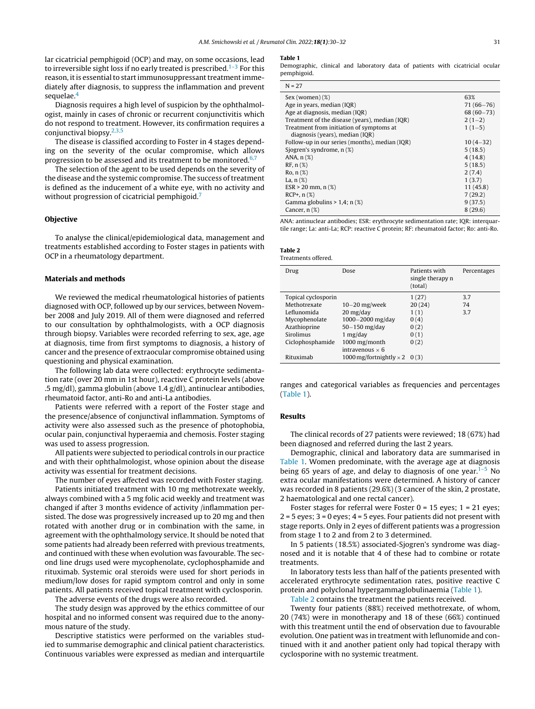lar cicatricial pemphigoid (OCP) and may, on some occasions, lead to irreversible sight loss if no early treated is prescribed.<sup>1-3</sup> For this reason, it is essential to start immunosuppressant treatment immediately after diagnosis, to suppress the inflammation and prevent sequelae.<sup>[4](#page-2-0)</sup>

Diagnosis requires a high level of suspicion by the ophthalmologist, mainly in cases of chronic or recurrent conjunctivitis which do not respond to treatment. However, its confirmation requires a conjunctival biopsy. $2,3,5$ 

The disease is classified according to Foster in 4 stages depending on the severity of the ocular compromise, which allows progression to be assessed and its treatment to be monitored. $6,7$ 

The selection of the agent to be used depends on the severity of the disease and the systemic compromise. The success of treatment is defined as the inducement of a white eye, with no activity and without progression of cicatricial pemphigoid.<sup>[7](#page-2-0)</sup>

#### Objective

To analyse the clinical/epidemiological data, management and treatments established according to Foster stages in patients with OCP in a rheumatology department.

#### Materials and methods

We reviewed the medical rheumatological histories of patients diagnosed with OCP, followed up by our services, between November 2008 and July 2019. All of them were diagnosed and referred to our consultation by ophthalmologists, with a OCP diagnosis through biopsy. Variables were recorded referring to sex, age, age at diagnosis, time from first symptoms to diagnosis, a history of cancer and the presence of extraocular compromise obtained using questioning and physical examination.

The following lab data were collected: erythrocyte sedimentation rate (over 20 mm in 1st hour), reactive C protein levels (above .5 mg/dl), gamma globulin (above 1.4 g/dl), antinuclear antibodies, rheumatoid factor, anti-Ro and anti-La antibodies.

Patients were referred with a report of the Foster stage and the presence/absence of conjunctival inflammation. Symptoms of activity were also assessed such as the presence of photophobia, ocular pain, conjunctival hyperaemia and chemosis. Foster staging was used to assess progression.

All patients were subjected to periodical controls in our practice and with their ophthalmologist, whose opinion about the disease activity was essential for treatment decisions.

The number of eyes affected was recorded with Foster staging. Patients initiated treatment with 10 mg methotrexate weekly, always combined with a 5 mg folic acid weekly and treatment was changed if after 3 months evidence of activity /inflammation persisted. The dose was progressively increased up to 20 mg and then rotated with another drug or in combination with the same, in agreement with the ophthalmology service. It should be noted that some patients had already been referred with previous treatments, and continued with these when evolution was favourable. The second line drugs used were mycophenolate, cyclophosphamide and rituximab. Systemic oral steroids were used for short periods in medium/low doses for rapid symptom control and only in some patients. All patients received topical treatment with cyclosporin.

The adverse events of the drugs were also recorded.

The study design was approved by the ethics committee of our hospital and no informed consent was required due to the anonymous nature of the study.

Descriptive statistics were performed on the variables studied to summarise demographic and clinical patient characteristics. Continuous variables were expressed as median and interquartile

#### Table 1

Demographic, clinical and laboratory data of patients with cicatricial ocular pemphigoid.

| Sex (woman)(%)                                 | 63%           |
|------------------------------------------------|---------------|
| Age in years, median (IQR)                     | $71(66 - 76)$ |
| Age at diagnosis, median (IQR)                 | $68(60 - 73)$ |
| Treatment of the disease (years), median (IQR) | $2(1-2)$      |
| Treatment from initiation of symptoms at       | $1(1-5)$      |
| diagnosis (years), median (IQR)                |               |
| Follow-up in our series (months), median (IQR) | $10(4-32)$    |
| Sjogren's syndrome, n (%)                      | 5(18.5)       |
| ANA, $n$ $(\%)$                                | 4(14.8)       |
| $RF, n({\cal X})$                              | 5(18.5)       |
| $Ro, n({\chi})$                                | 2(7.4)        |
| La, $n$ $(\%)$                                 | 1(3.7)        |
| $ESR > 20$ mm, n $(\%)$                        | 11(45.8)      |
| $RCP+$ , $n$ (%)                               | 7(29.2)       |
| Gamma globulins $> 1.4$ ; n $(\%)$             | 9(37.5)       |
| Cancer, $n$ $(\%)$                             | 8(29.6)       |
|                                                |               |

ANA: antinuclear antibodies; ESR: erythrocyte sedimentation rate; IQR: interquartile range; La: anti-La; RCP: reactive C protein; RF: rheumatoid factor; Ro: anti-Ro.

| Table |  |
|-------|--|
|-------|--|

Treatments offered.

| Drug                | Dose                                 | Patients with<br>single therapy n<br>(total) | Percentages |
|---------------------|--------------------------------------|----------------------------------------------|-------------|
| Topical cyclosporin |                                      | 1(27)                                        | 3.7         |
| Methotrexate        | $10-20$ mg/week                      | 20(24)                                       | 74          |
| Leflunomida         | $20 \frac{\text{mg}}{\text{day}}$    | 1(1)                                         | 3.7         |
| Mycophenolate       | $1000 - 2000$ mg/day                 | 0(4)                                         |             |
| Azathioprine        | $50-150$ mg/day                      | 0(2)                                         |             |
| Sirolimus           | 1 $mg$ /day                          | 0(1)                                         |             |
| Ciclophosphamide    | 1000 mg/month                        | 0(2)                                         |             |
|                     | intravenous $\times$ 6               |                                              |             |
| Rituximab           | 1000 mg/fortnightly $\times$ 2 0 (3) |                                              |             |

ranges and categorical variables as frequencies and percentages (Table 1).

#### Results

The clinical records of 27 patients were reviewed; 18 (67%) had been diagnosed and referred during the last 2 years.

Demographic, clinical and laboratory data are summarised in Table 1. Women predominate, with the average age at diagnosis being 65 years of age, and delay to diagnosis of one year. $1-5$  No extra ocular manifestations were determined. A history of cancer was recorded in 8 patients (29.6%) (3 cancer of the skin, 2 prostate, 2 haematological and one rectal cancer).

Foster stages for referral were Foster  $0 = 15$  eyes;  $1 = 21$  eyes;  $2 = 5$  eyes;  $3 = 0$  eyes;  $4 = 5$  eyes. Four patients did not present with stage reports. Only in 2 eyes of different patients was a progression from stage 1 to 2 and from 2 to 3 determined.

In 5 patients (18.5%) associated-Sjogren's syndrome was diagnosed and it is notable that 4 of these had to combine or rotate treatments.

In laboratory tests less than half of the patients presented with accelerated erythrocyte sedimentation rates, positive reactive C protein and polyclonal hypergammaglobulinaemia (Table 1).

Table 2 contains the treatment the patients received.

Twenty four patients (88%) received methotrexate, of whom, 20 (74%) were in monotherapy and 18 of these (66%) continued with this treatment until the end of observation due to favourable evolution. One patient was in treatment with leflunomide and continued with it and another patient only had topical therapy with cyclosporine with no systemic treatment.